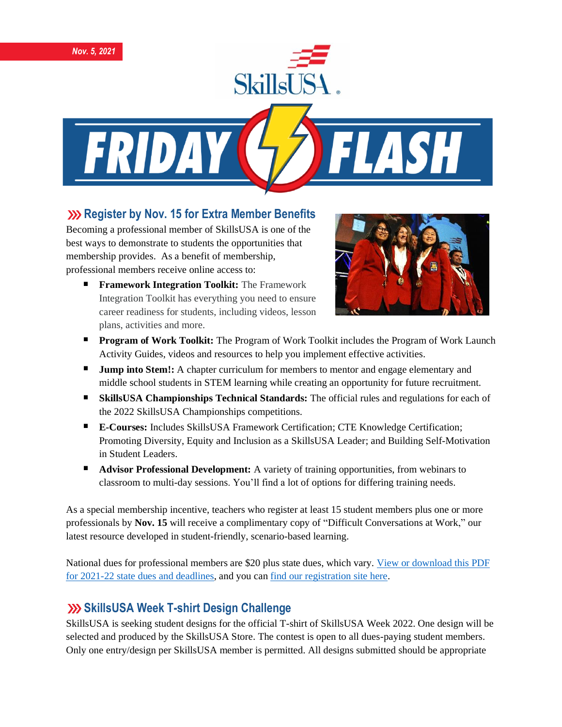

#### **Register by Nov. 15 for Extra Member Benefits**

Becoming a professional member of SkillsUSA is one of the best ways to demonstrate to students the opportunities that membership provides. As a benefit of membership, professional members receive online access to:

**Framework Integration Toolkit:** The Framework Integration Toolkit has everything you need to ensure career readiness for students, including videos, lesson plans, activities and more.



- **Program of Work Toolkit:** The Program of Work Toolkit includes the Program of Work Launch Activity Guides, videos and resources to help you implement effective activities.
- **Jump into Stem!:** A chapter curriculum for members to mentor and engage elementary and middle school students in STEM learning while creating an opportunity for future recruitment.
- **SkillsUSA Championships Technical Standards:** The official rules and regulations for each of the 2022 SkillsUSA Championships competitions.
- **E-Courses:** Includes SkillsUSA Framework Certification; CTE Knowledge Certification; Promoting Diversity, Equity and Inclusion as a SkillsUSA Leader; and Building Self-Motivation in Student Leaders.
- **Advisor Professional Development:** A variety of training opportunities, from webinars to classroom to multi-day sessions. You'll find a lot of options for differing training needs.

As a special membership incentive, teachers who register at least 15 student members plus one or more professionals by **Nov. 15** will receive a complimentary copy of "Difficult Conversations at Work," our latest resource developed in student-friendly, scenario-based learning.

National dues for professional members are \$20 plus state dues, which vary. [View or download this PDF](https://www.skillsusa.org/wp-content/uploads/2019/08/State-information-Dues-Deadlines.pdf)  [for 2021-22 state dues and deadlines,](https://www.skillsusa.org/wp-content/uploads/2019/08/State-information-Dues-Deadlines.pdf) and you ca[n find our registration site here.](https://www.skillsusa-register.org/Login.aspx)

### **SkillsUSA Week T-shirt Design Challenge**

SkillsUSA is seeking student designs for the official T-shirt of SkillsUSA Week 2022. One design will be selected and produced by the SkillsUSA Store. The contest is open to all dues-paying student members. Only one entry/design per SkillsUSA member is permitted. All designs submitted should be appropriate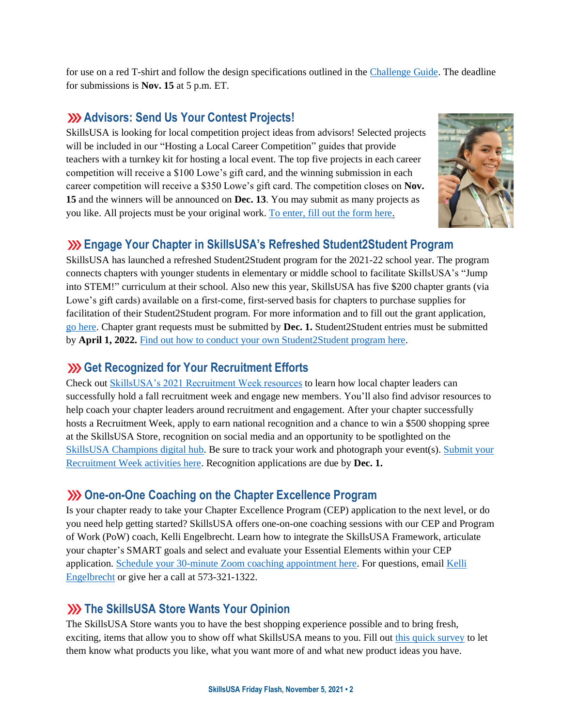for use on a red T-shirt and follow the design specifications outlined in the [Challenge Guide.](https://skillsusa.egnyte.com/dl/s7J9sRO8qg) The deadline for submissions is **Nov. 15** at 5 p.m. ET.

### **Advisors: Send Us Your Contest Projects!**

SkillsUSA is looking for local competition project ideas from advisors! Selected projects will be included in our "Hosting a Local Career Competition" guides that provide teachers with a turnkey kit for hosting a local event. The top five projects in each career competition will receive a \$100 Lowe's gift card, and the winning submission in each career competition will receive a \$350 Lowe's gift card. The competition closes on **Nov. 15** and the winners will be announced on **Dec. 13**. You may submit as many projects as you like. All projects must be your original work. [To enter, fill out the form here.](https://www.skillsusa.org/competitions/2021-skillsusa-career-competition-project/)



# **Engage Your Chapter in SkillsUSA's Refreshed Student2Student Program**

SkillsUSA has launched a refreshed Student2Student program for the 2021-22 school year. The program connects chapters with younger students in elementary or middle school to facilitate SkillsUSA's "Jump into STEM!" curriculum at their school. Also new this year, SkillsUSA has five \$200 chapter grants (via Lowe's gift cards) available on a first-come, first-served basis for chapters to purchase supplies for facilitation of their Student2Student program. For more information and to fill out the grant application, [go here.](https://skillsusa.wufoo.com/forms/q1q0j4bd0laniof/) Chapter grant requests must be submitted by **Dec. 1.** Student2Student entries must be submitted by **April 1, 2022.** [Find out how to conduct your own Student2Student program here.](https://www.skillsusa.org/programs/student2student/)

### **XX** Get Recognized for Your Recruitment Efforts

Check ou[t SkillsUSA's 2021 Recruitment Week resources](https://www.skillsusa.org/programs/2021-recruitment/) to learn how local chapter leaders can successfully hold a fall recruitment week and engage new members. You'll also find advisor resources to help coach your chapter leaders around recruitment and engagement. After your chapter successfully hosts a Recruitment Week, apply to earn national recognition and a chance to win a \$500 shopping spree at the SkillsUSA Store, recognition on social media and an opportunity to be spotlighted on the [SkillsUSA Champions digital hub.](http://champions.skillsusa.org/) Be sure to track your work and photograph your event(s). [Submit your](https://skillsusa.wufoo.com/forms/2021-recruitment-week-recognition-application)  [Recruitment Week activities here.](https://skillsusa.wufoo.com/forms/2021-recruitment-week-recognition-application) Recognition applications are due by **Dec. 1.**

# **XX** One-on-One Coaching on the Chapter Excellence Program

Is your chapter ready to take your Chapter Excellence Program (CEP) application to the next level, or do you need help getting started? SkillsUSA offers one-on-one coaching sessions with our CEP and Program of Work (PoW) coach, Kelli Engelbrecht. Learn how to integrate the SkillsUSA Framework, articulate your chapter's SMART goals and select and evaluate your Essential Elements within your CEP application. [Schedule your 30-minute Zoom coaching appointment here.](https://calendly.com/skillsusakelli) For questions, email [Kelli](mailto:kengelbrecht@skillsusa.org)  [Engelbrecht](mailto:kengelbrecht@skillsusa.org) or give her a call at 573-321-1322.

# **XXX** The SkillsUSA Store Wants Your Opinion

The SkillsUSA Store wants you to have the best shopping experience possible and to bring fresh, exciting, items that allow you to show off what SkillsUSA means to you. Fill out [this quick survey](https://centricitynow.typeform.com/to/uRqfUIdT) to let them know what products you like, what you want more of and what new product ideas you have.